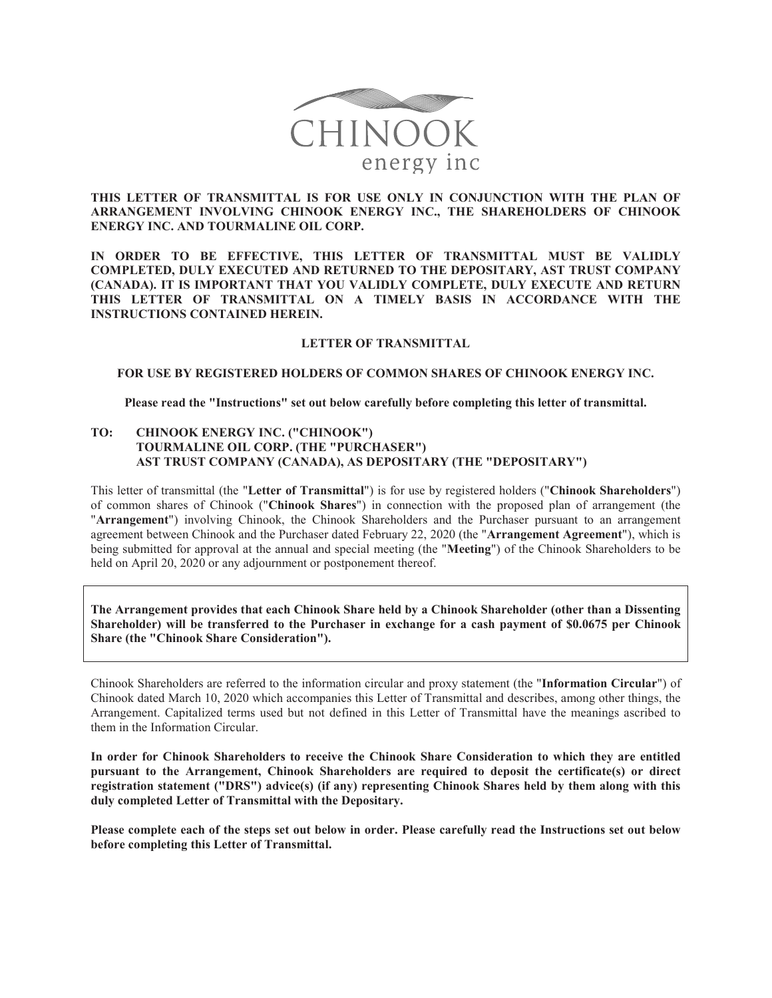

# **THIS LETTER OF TRANSMITTAL IS FOR USE ONLY IN CONJUNCTION WITH THE PLAN OF ARRANGEMENT INVOLVING CHINOOK ENERGY INC., THE SHAREHOLDERS OF CHINOOK ENERGY INC. AND TOURMALINE OIL CORP.**

**IN ORDER TO BE EFFECTIVE, THIS LETTER OF TRANSMITTAL MUST BE VALIDLY COMPLETED, DULY EXECUTED AND RETURNED TO THE DEPOSITARY, AST TRUST COMPANY (CANADA). IT IS IMPORTANT THAT YOU VALIDLY COMPLETE, DULY EXECUTE AND RETURN THIS LETTER OF TRANSMITTAL ON A TIMELY BASIS IN ACCORDANCE WITH THE INSTRUCTIONS CONTAINED HEREIN.**

## **LETTER OF TRANSMITTAL**

### **FOR USE BY REGISTERED HOLDERS OF COMMON SHARES OF CHINOOK ENERGY INC.**

#### **Please read the "Instructions" set out below carefully before completing this letter of transmittal.**

## **TO: CHINOOK ENERGY INC. ("CHINOOK") TOURMALINE OIL CORP. (THE "PURCHASER") AST TRUST COMPANY (CANADA), AS DEPOSITARY (THE "DEPOSITARY")**

This letter of transmittal (the "**Letter of Transmittal**") is for use by registered holders ("**Chinook Shareholders**") of common shares of Chinook ("**Chinook Shares**") in connection with the proposed plan of arrangement (the "**Arrangement**") involving Chinook, the Chinook Shareholders and the Purchaser pursuant to an arrangement agreement between Chinook and the Purchaser dated February 22, 2020 (the "**Arrangement Agreement**"), which is being submitted for approval at the annual and special meeting (the "**Meeting**") of the Chinook Shareholders to be held on April 20, 2020 or any adjournment or postponement thereof.

**The Arrangement provides that each Chinook Share held by a Chinook Shareholder (other than a Dissenting Shareholder) will be transferred to the Purchaser in exchange for a cash payment of \$0.0675 per Chinook Share (the "Chinook Share Consideration").**

Chinook Shareholders are referred to the information circular and proxy statement (the "**Information Circular**") of Chinook dated March 10, 2020 which accompanies this Letter of Transmittal and describes, among other things, the Arrangement. Capitalized terms used but not defined in this Letter of Transmittal have the meanings ascribed to them in the Information Circular.

**In order for Chinook Shareholders to receive the Chinook Share Consideration to which they are entitled pursuant to the Arrangement, Chinook Shareholders are required to deposit the certificate(s) or direct registration statement ("DRS") advice(s) (if any) representing Chinook Shares held by them along with this duly completed Letter of Transmittal with the Depositary.**

**Please complete each of the steps set out below in order. Please carefully read the Instructions set out below before completing this Letter of Transmittal.**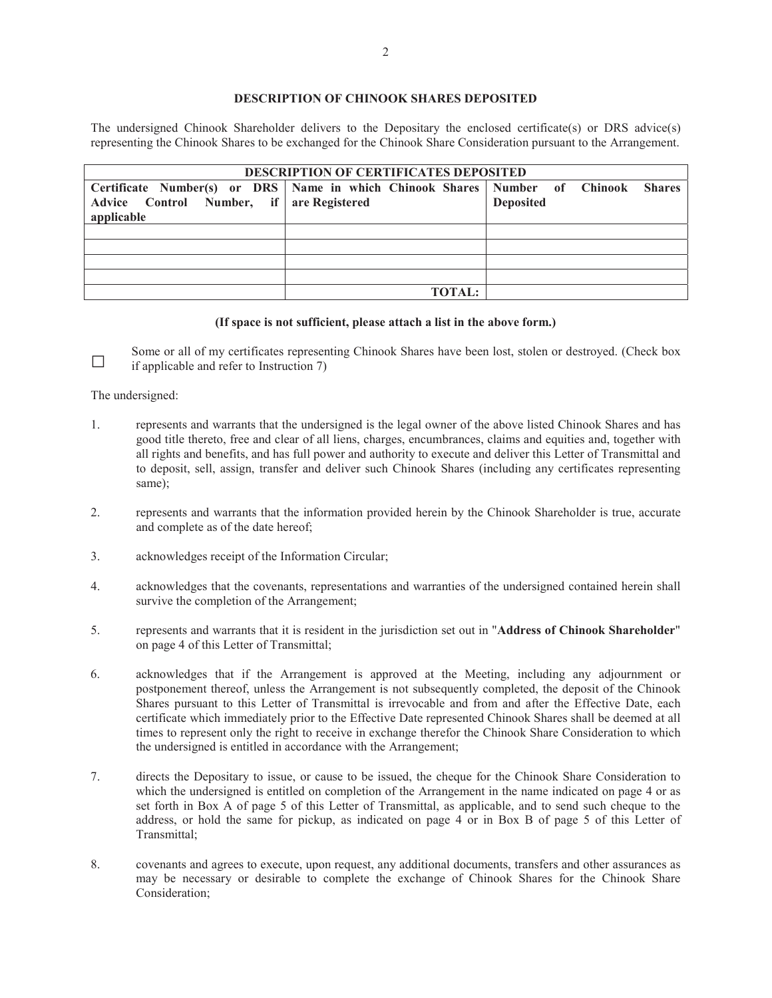# **DESCRIPTION OF CHINOOK SHARES DEPOSITED**

The undersigned Chinook Shareholder delivers to the Depositary the enclosed certificate(s) or DRS advice(s) representing the Chinook Shares to be exchanged for the Chinook Share Consideration pursuant to the Arrangement.

| <b>DESCRIPTION OF CERTIFICATES DEPOSITED</b> |                                                                                    |                  |  |  |  |
|----------------------------------------------|------------------------------------------------------------------------------------|------------------|--|--|--|
|                                              | Certificate Number(s) or DRS Name in which Chinook Shares Number of Chinook Shares |                  |  |  |  |
| Advice Control Number, if are Registered     |                                                                                    | <b>Deposited</b> |  |  |  |
| applicable                                   |                                                                                    |                  |  |  |  |
|                                              |                                                                                    |                  |  |  |  |
|                                              |                                                                                    |                  |  |  |  |
|                                              |                                                                                    |                  |  |  |  |
|                                              |                                                                                    |                  |  |  |  |
|                                              | <b>TOTAL:</b>                                                                      |                  |  |  |  |

#### **(If space is not sufficient, please attach a list in the above form.)**

Some or all of my certificates representing Chinook Shares have been lost, stolen or destroyed. (Check box if annihilable and refer to Instruction 7) if applicable and refer to Instruction 7)

The undersigned:

- 1. represents and warrants that the undersigned is the legal owner of the above listed Chinook Shares and has good title thereto, free and clear of all liens, charges, encumbrances, claims and equities and, together with all rights and benefits, and has full power and authority to execute and deliver this Letter of Transmittal and to deposit, sell, assign, transfer and deliver such Chinook Shares (including any certificates representing same);
- 2. represents and warrants that the information provided herein by the Chinook Shareholder is true, accurate and complete as of the date hereof;
- 3. acknowledges receipt of the Information Circular;
- 4. acknowledges that the covenants, representations and warranties of the undersigned contained herein shall survive the completion of the Arrangement;
- 5. represents and warrants that it is resident in the jurisdiction set out in "**Address of Chinook Shareholder**" on page 4 of this Letter of Transmittal;
- 6. acknowledges that if the Arrangement is approved at the Meeting, including any adjournment or postponement thereof, unless the Arrangement is not subsequently completed, the deposit of the Chinook Shares pursuant to this Letter of Transmittal is irrevocable and from and after the Effective Date, each certificate which immediately prior to the Effective Date represented Chinook Shares shall be deemed at all times to represent only the right to receive in exchange therefor the Chinook Share Consideration to which the undersigned is entitled in accordance with the Arrangement;
- 7. directs the Depositary to issue, or cause to be issued, the cheque for the Chinook Share Consideration to which the undersigned is entitled on completion of the Arrangement in the name indicated on page 4 or as set forth in Box A of page 5 of this Letter of Transmittal, as applicable, and to send such cheque to the address, or hold the same for pickup, as indicated on page 4 or in Box B of page 5 of this Letter of Transmittal;
- 8. covenants and agrees to execute, upon request, any additional documents, transfers and other assurances as may be necessary or desirable to complete the exchange of Chinook Shares for the Chinook Share Consideration;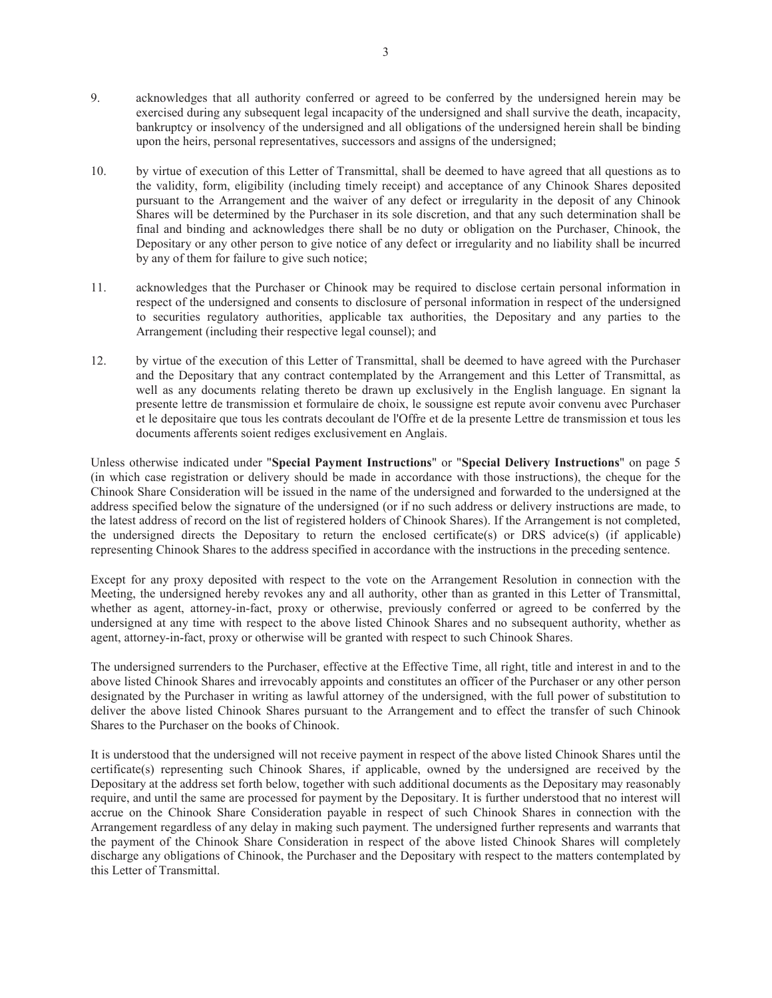- 9. acknowledges that all authority conferred or agreed to be conferred by the undersigned herein may be exercised during any subsequent legal incapacity of the undersigned and shall survive the death, incapacity, bankruptcy or insolvency of the undersigned and all obligations of the undersigned herein shall be binding upon the heirs, personal representatives, successors and assigns of the undersigned;
- 10. by virtue of execution of this Letter of Transmittal, shall be deemed to have agreed that all questions as to the validity, form, eligibility (including timely receipt) and acceptance of any Chinook Shares deposited pursuant to the Arrangement and the waiver of any defect or irregularity in the deposit of any Chinook Shares will be determined by the Purchaser in its sole discretion, and that any such determination shall be final and binding and acknowledges there shall be no duty or obligation on the Purchaser, Chinook, the Depositary or any other person to give notice of any defect or irregularity and no liability shall be incurred by any of them for failure to give such notice;
- 11. acknowledges that the Purchaser or Chinook may be required to disclose certain personal information in respect of the undersigned and consents to disclosure of personal information in respect of the undersigned to securities regulatory authorities, applicable tax authorities, the Depositary and any parties to the Arrangement (including their respective legal counsel); and
- 12. by virtue of the execution of this Letter of Transmittal, shall be deemed to have agreed with the Purchaser and the Depositary that any contract contemplated by the Arrangement and this Letter of Transmittal, as well as any documents relating thereto be drawn up exclusively in the English language. En signant la presente lettre de transmission et formulaire de choix, le soussigne est repute avoir convenu avec Purchaser et le depositaire que tous les contrats decoulant de l'Offre et de la presente Lettre de transmission et tous les documents afferents soient rediges exclusivement en Anglais.

Unless otherwise indicated under "**Special Payment Instructions**" or "**Special Delivery Instructions**" on page 5 (in which case registration or delivery should be made in accordance with those instructions), the cheque for the Chinook Share Consideration will be issued in the name of the undersigned and forwarded to the undersigned at the address specified below the signature of the undersigned (or if no such address or delivery instructions are made, to the latest address of record on the list of registered holders of Chinook Shares). If the Arrangement is not completed, the undersigned directs the Depositary to return the enclosed certificate(s) or DRS advice(s) (if applicable) representing Chinook Shares to the address specified in accordance with the instructions in the preceding sentence.

Except for any proxy deposited with respect to the vote on the Arrangement Resolution in connection with the Meeting, the undersigned hereby revokes any and all authority, other than as granted in this Letter of Transmittal, whether as agent, attorney-in-fact, proxy or otherwise, previously conferred or agreed to be conferred by the undersigned at any time with respect to the above listed Chinook Shares and no subsequent authority, whether as agent, attorney-in-fact, proxy or otherwise will be granted with respect to such Chinook Shares.

The undersigned surrenders to the Purchaser, effective at the Effective Time, all right, title and interest in and to the above listed Chinook Shares and irrevocably appoints and constitutes an officer of the Purchaser or any other person designated by the Purchaser in writing as lawful attorney of the undersigned, with the full power of substitution to deliver the above listed Chinook Shares pursuant to the Arrangement and to effect the transfer of such Chinook Shares to the Purchaser on the books of Chinook.

It is understood that the undersigned will not receive payment in respect of the above listed Chinook Shares until the certificate(s) representing such Chinook Shares, if applicable, owned by the undersigned are received by the Depositary at the address set forth below, together with such additional documents as the Depositary may reasonably require, and until the same are processed for payment by the Depositary. It is further understood that no interest will accrue on the Chinook Share Consideration payable in respect of such Chinook Shares in connection with the Arrangement regardless of any delay in making such payment. The undersigned further represents and warrants that the payment of the Chinook Share Consideration in respect of the above listed Chinook Shares will completely discharge any obligations of Chinook, the Purchaser and the Depositary with respect to the matters contemplated by this Letter of Transmittal.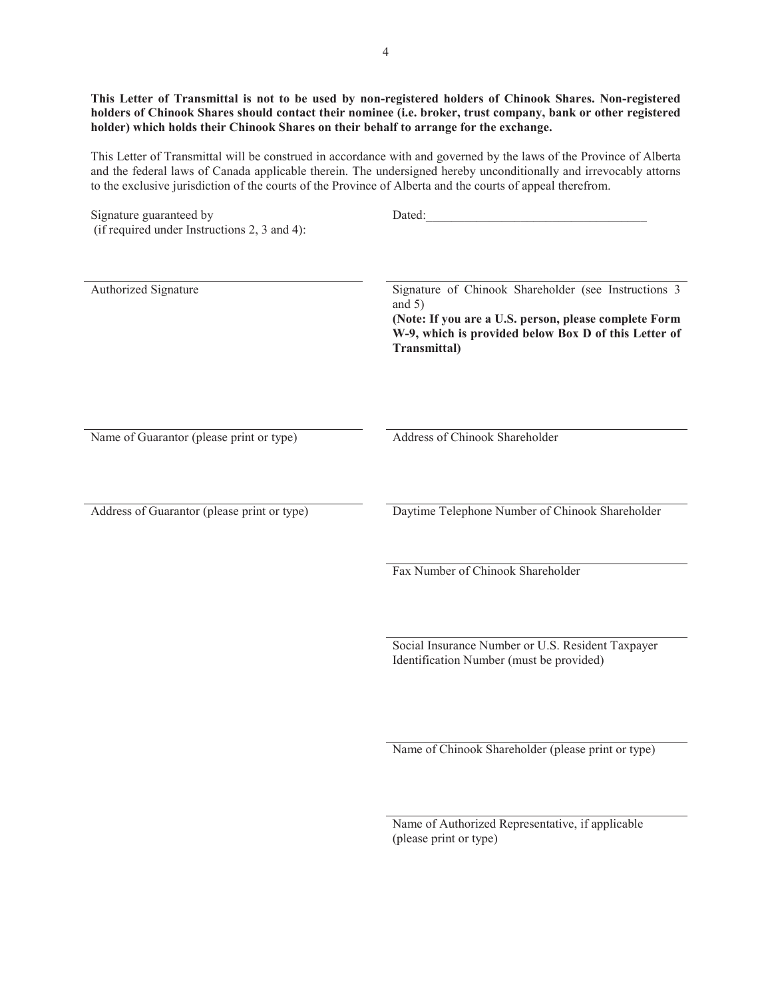**This Letter of Transmittal is not to be used by non-registered holders of Chinook Shares. Non-registered holders of Chinook Shares should contact their nominee (i.e. broker, trust company, bank or other registered holder) which holds their Chinook Shares on their behalf to arrange for the exchange.**

This Letter of Transmittal will be construed in accordance with and governed by the laws of the Province of Alberta and the federal laws of Canada applicable therein. The undersigned hereby unconditionally and irrevocably attorns to the exclusive jurisdiction of the courts of the Province of Alberta and the courts of appeal therefrom.

| Signature guaranteed by<br>(if required under Instructions 2, 3 and 4): | Dated:                                                                                                                                                                                            |
|-------------------------------------------------------------------------|---------------------------------------------------------------------------------------------------------------------------------------------------------------------------------------------------|
| Authorized Signature                                                    | Signature of Chinook Shareholder (see Instructions 3<br>and $5)$<br>(Note: If you are a U.S. person, please complete Form<br>W-9, which is provided below Box D of this Letter of<br>Transmittal) |
| Name of Guarantor (please print or type)                                | Address of Chinook Shareholder                                                                                                                                                                    |
| Address of Guarantor (please print or type)                             | Daytime Telephone Number of Chinook Shareholder                                                                                                                                                   |
|                                                                         | Fax Number of Chinook Shareholder                                                                                                                                                                 |
|                                                                         | Social Insurance Number or U.S. Resident Taxpayer<br>Identification Number (must be provided)                                                                                                     |
|                                                                         | Name of Chinook Shareholder (please print or type)                                                                                                                                                |
|                                                                         | Name of Authorized Representative, if applicable<br>(please print or type)                                                                                                                        |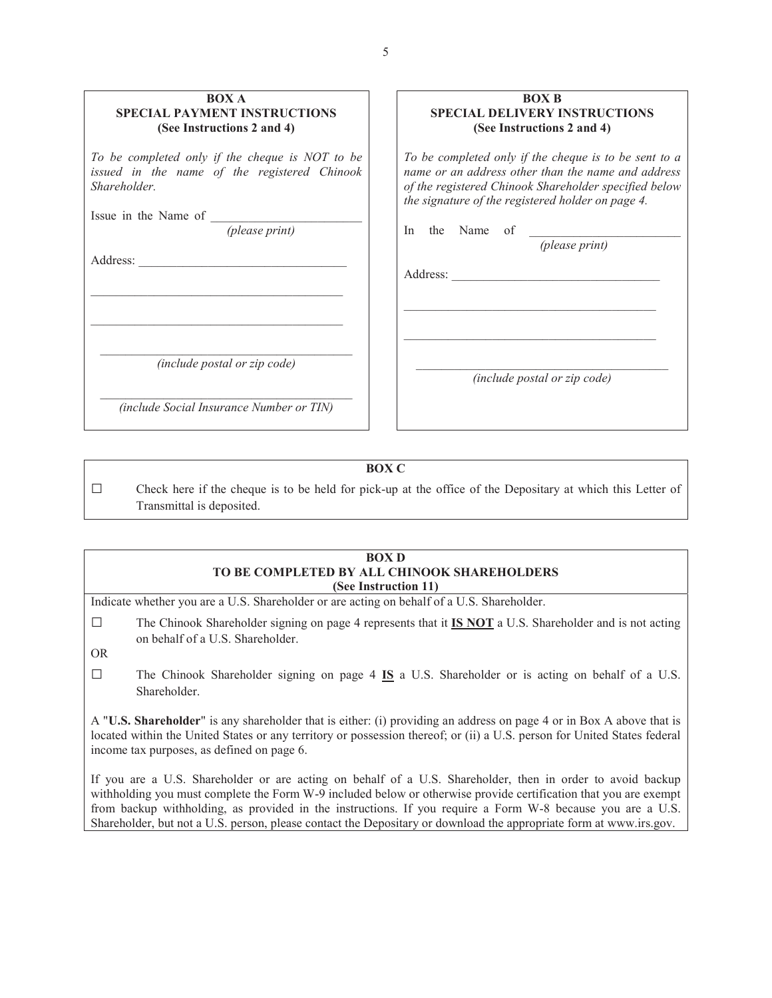| <b>BOX A</b><br><b>SPECIAL PAYMENT INSTRUCTIONS</b><br>(See Instructions 2 and 4)                               | <b>BOX B</b><br><b>SPECIAL DELIVERY INSTRUCTIONS</b><br>(See Instructions 2 and 4)                                                                                                                                        |
|-----------------------------------------------------------------------------------------------------------------|---------------------------------------------------------------------------------------------------------------------------------------------------------------------------------------------------------------------------|
| To be completed only if the cheque is NOT to be<br>issued in the name of the registered Chinook<br>Shareholder. | To be completed only if the cheque is to be sent to a<br>name or an address other than the name and address<br>of the registered Chinook Shareholder specified below<br>the signature of the registered holder on page 4. |
| Issue in the Name of<br>(please print)                                                                          | the Name<br>of<br>In<br>(please print)                                                                                                                                                                                    |
| Address:                                                                                                        |                                                                                                                                                                                                                           |
| (include postal or zip code)                                                                                    | <i>(include postal or zip code)</i>                                                                                                                                                                                       |
| (include Social Insurance Number or TIN)                                                                        |                                                                                                                                                                                                                           |

**BOX C**

 $\Box$  Check here if the cheque is to be held for pick-up at the office of the Depositary at which this Letter of Transmittal is deposited.

### **BOX D TO BE COMPLETED BY ALL CHINOOK SHAREHOLDERS (See Instruction 11)**

Indicate whether you are a U.S. Shareholder or are acting on behalf of a U.S. Shareholder.

 $\Box$  The Chinook Shareholder signing on page 4 represents that it **IS NOT** a U.S. Shareholder and is not acting on behalf of a U.S. Shareholder.

OR

Ƒ The Chinook Shareholder signing on page 4 **IS** a U.S. Shareholder or is acting on behalf of a U.S. Shareholder.

A "**U.S. Shareholder**" is any shareholder that is either: (i) providing an address on page 4 or in Box A above that is located within the United States or any territory or possession thereof; or (ii) a U.S. person for United States federal income tax purposes, as defined on page 6.

If you are a U.S. Shareholder or are acting on behalf of a U.S. Shareholder, then in order to avoid backup withholding you must complete the Form W-9 included below or otherwise provide certification that you are exempt from backup withholding, as provided in the instructions. If you require a Form W-8 because you are a U.S. Shareholder, but not a U.S. person, please contact the Depositary or download the appropriate form at www.irs.gov.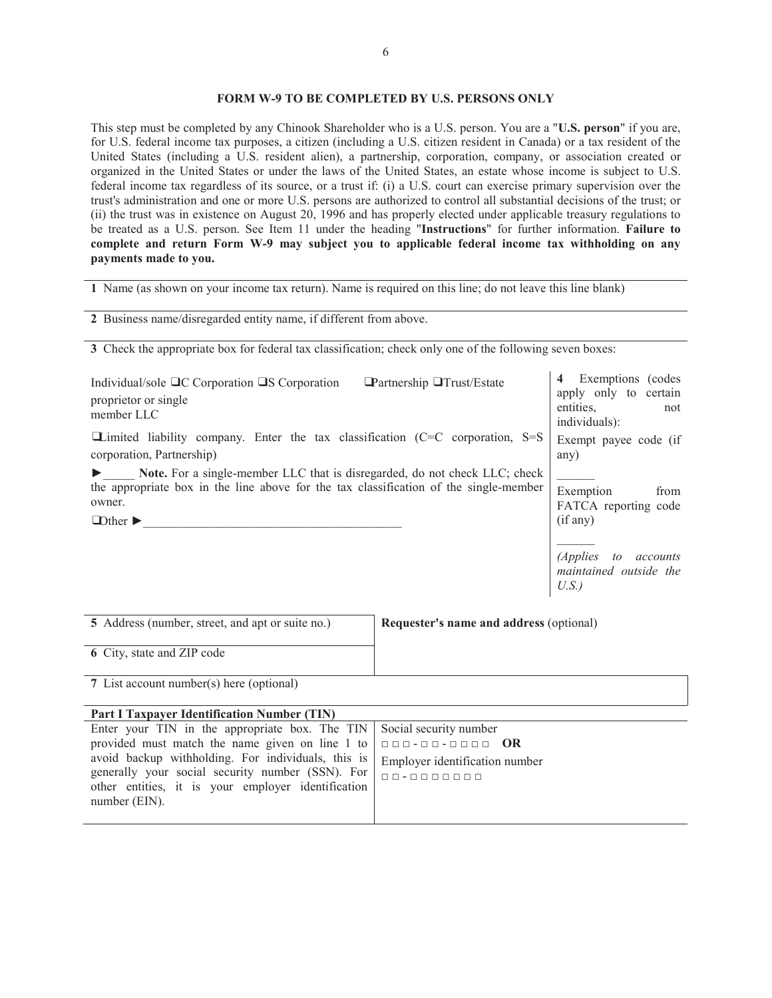## **FORM W-9 TO BE COMPLETED BY U.S. PERSONS ONLY**

This step must be completed by any Chinook Shareholder who is a U.S. person. You are a "**U.S. person**" if you are, for U.S. federal income tax purposes, a citizen (including a U.S. citizen resident in Canada) or a tax resident of the United States (including a U.S. resident alien), a partnership, corporation, company, or association created or organized in the United States or under the laws of the United States, an estate whose income is subject to U.S. federal income tax regardless of its source, or a trust if: (i) a U.S. court can exercise primary supervision over the trust's administration and one or more U.S. persons are authorized to control all substantial decisions of the trust; or (ii) the trust was in existence on August 20, 1996 and has properly elected under applicable treasury regulations to be treated as a U.S. person. See Item 11 under the heading "**Instructions**" for further information. **Failure to complete and return Form W-9 may subject you to applicable federal income tax withholding on any payments made to you.**

**1** Name (as shown on your income tax return). Name is required on this line; do not leave this line blank)

**2** Business name/disregarded entity name, if different from above.

generally your social security number (SSN). For other entities, it is your employer identification

number (EIN).

**3** Check the appropriate box for federal tax classification; check only one of the following seven boxes:

| Individual/sole □C Corporation □S Corporation<br>proprietor or single<br>member LLC                                                                                                           | <b>■Partnership ■Trust/Estate</b>       | Exemptions (codes<br>$\overline{\mathbf{4}}$<br>apply only to certain<br>entities,<br>not<br>individuals): |
|-----------------------------------------------------------------------------------------------------------------------------------------------------------------------------------------------|-----------------------------------------|------------------------------------------------------------------------------------------------------------|
| $\Box$ Limited liability company. Enter the tax classification (C=C corporation, S=S<br>corporation, Partnership)                                                                             |                                         | Exempt payee code (if<br>any)                                                                              |
| Note. For a single-member LLC that is disregarded, do not check LLC; check<br>the appropriate box in the line above for the tax classification of the single-member<br>owner.<br>$\Box$ Other |                                         | Exemption<br>from<br>FATCA reporting code<br>(if any)                                                      |
|                                                                                                                                                                                               |                                         | (Applies to accounts)<br>maintained outside the<br>U.S.                                                    |
| 5 Address (number, street, and apt or suite no.)                                                                                                                                              | Requester's name and address (optional) |                                                                                                            |
| 6 City, state and ZIP code                                                                                                                                                                    |                                         |                                                                                                            |
| 7 List account number(s) here (optional)                                                                                                                                                      |                                         |                                                                                                            |
| <b>Part I Taxpayer Identification Number (TIN)</b>                                                                                                                                            |                                         |                                                                                                            |
| Enter your TIN in the appropriate box. The TIN                                                                                                                                                | Social security number                  |                                                                                                            |
| provided must match the name given on line 1 to                                                                                                                                               | 000-00-0000 OR                          |                                                                                                            |
| avoid backup withholding. For individuals, this is                                                                                                                                            | Employer identification number          |                                                                                                            |

ƑƑ- ƑƑƑƑƑƑƑ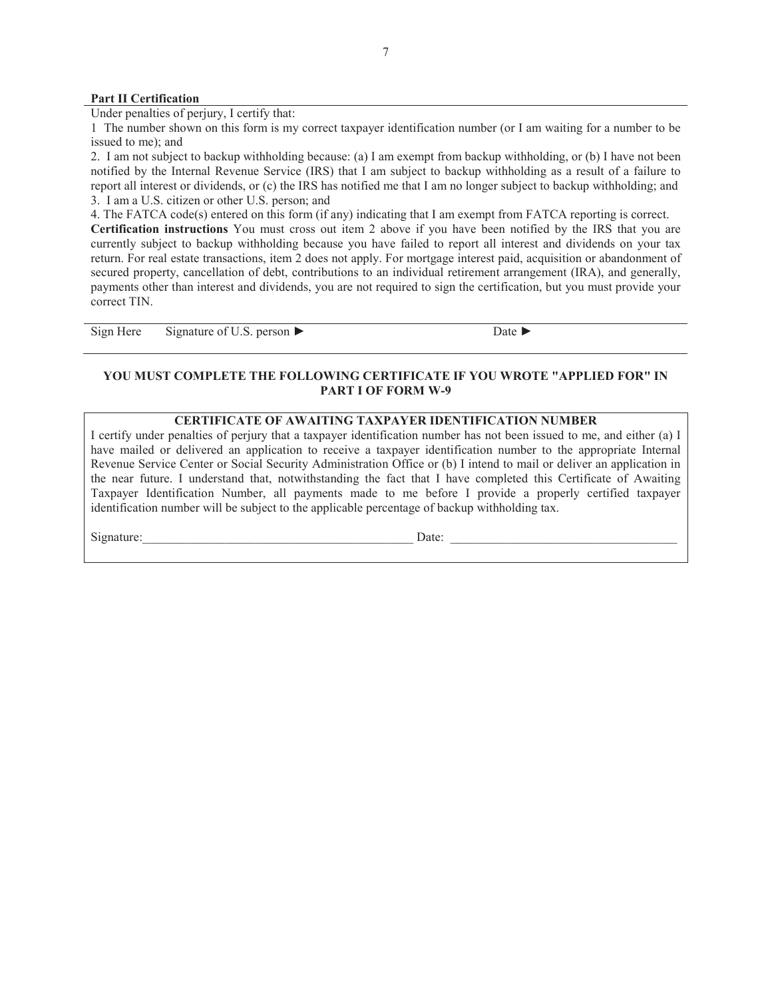### **Part II Certification**

Under penalties of perjury, I certify that:

1 The number shown on this form is my correct taxpayer identification number (or I am waiting for a number to be issued to me); and

2. I am not subject to backup withholding because: (a) I am exempt from backup withholding, or (b) I have not been notified by the Internal Revenue Service (IRS) that I am subject to backup withholding as a result of a failure to report all interest or dividends, or (c) the IRS has notified me that I am no longer subject to backup withholding; and 3. I am a U.S. citizen or other U.S. person; and

4. The FATCA code(s) entered on this form (if any) indicating that I am exempt from FATCA reporting is correct.

**Certification instructions** You must cross out item 2 above if you have been notified by the IRS that you are currently subject to backup withholding because you have failed to report all interest and dividends on your tax return. For real estate transactions, item 2 does not apply. For mortgage interest paid, acquisition or abandonment of secured property, cancellation of debt, contributions to an individual retirement arrangement (IRA), and generally, payments other than interest and dividends, you are not required to sign the certification, but you must provide your correct TIN.

Sign Here Signature of U.S. person  $\blacktriangleright$  Date  $\blacktriangleright$ 

## **YOU MUST COMPLETE THE FOLLOWING CERTIFICATE IF YOU WROTE "APPLIED FOR" IN PART I OF FORM W-9**

### **CERTIFICATE OF AWAITING TAXPAYER IDENTIFICATION NUMBER**

I certify under penalties of perjury that a taxpayer identification number has not been issued to me, and either (a) I have mailed or delivered an application to receive a taxpayer identification number to the appropriate Internal Revenue Service Center or Social Security Administration Office or (b) I intend to mail or deliver an application in the near future. I understand that, notwithstanding the fact that I have completed this Certificate of Awaiting Taxpayer Identification Number, all payments made to me before I provide a properly certified taxpayer identification number will be subject to the applicable percentage of backup withholding tax.

Signature:\_\_\_\_\_\_\_\_\_\_\_\_\_\_\_\_\_\_\_\_\_\_\_\_\_\_\_\_\_\_\_\_\_\_\_\_\_\_\_\_\_\_\_ Date: \_\_\_\_\_\_\_\_\_\_\_\_\_\_\_\_\_\_\_\_\_\_\_\_\_\_\_\_\_\_\_\_\_\_\_\_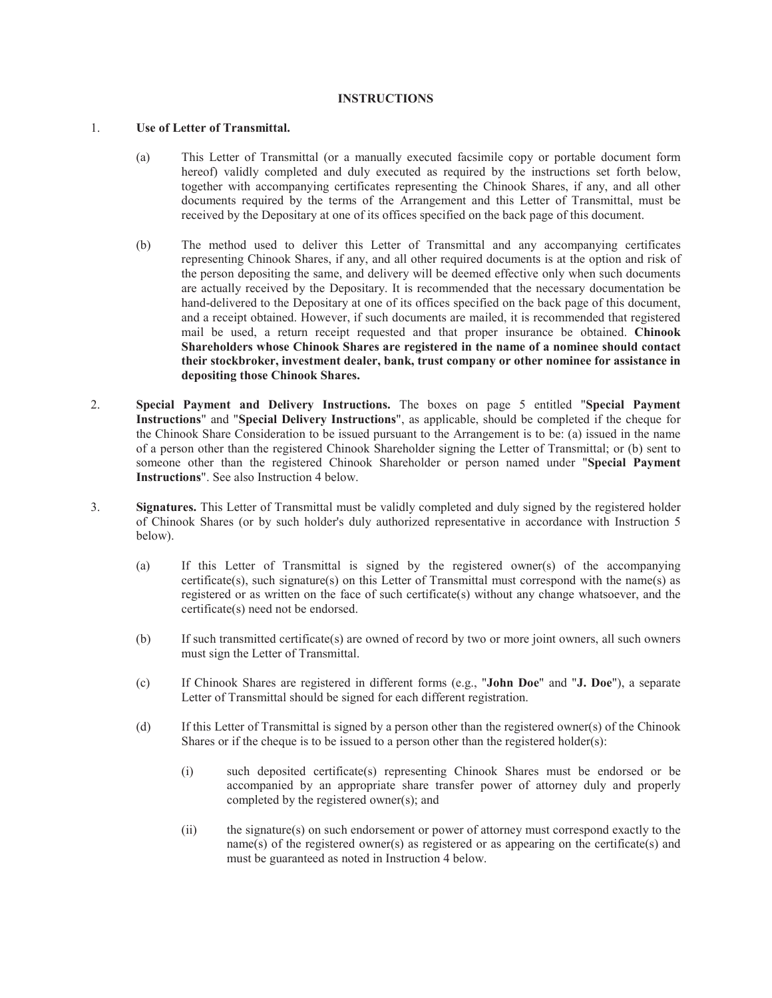### **INSTRUCTIONS**

### 1. **Use of Letter of Transmittal.**

- (a) This Letter of Transmittal (or a manually executed facsimile copy or portable document form hereof) validly completed and duly executed as required by the instructions set forth below, together with accompanying certificates representing the Chinook Shares, if any, and all other documents required by the terms of the Arrangement and this Letter of Transmittal, must be received by the Depositary at one of its offices specified on the back page of this document.
- (b) The method used to deliver this Letter of Transmittal and any accompanying certificates representing Chinook Shares, if any, and all other required documents is at the option and risk of the person depositing the same, and delivery will be deemed effective only when such documents are actually received by the Depositary. It is recommended that the necessary documentation be hand-delivered to the Depositary at one of its offices specified on the back page of this document, and a receipt obtained. However, if such documents are mailed, it is recommended that registered mail be used, a return receipt requested and that proper insurance be obtained. **Chinook Shareholders whose Chinook Shares are registered in the name of a nominee should contact their stockbroker, investment dealer, bank, trust company or other nominee for assistance in depositing those Chinook Shares.**
- 2. **Special Payment and Delivery Instructions.** The boxes on page 5 entitled "**Special Payment Instructions**" and "**Special Delivery Instructions**", as applicable, should be completed if the cheque for the Chinook Share Consideration to be issued pursuant to the Arrangement is to be: (a) issued in the name of a person other than the registered Chinook Shareholder signing the Letter of Transmittal; or (b) sent to someone other than the registered Chinook Shareholder or person named under "**Special Payment Instructions**". See also Instruction 4 below.
- 3. **Signatures.** This Letter of Transmittal must be validly completed and duly signed by the registered holder of Chinook Shares (or by such holder's duly authorized representative in accordance with Instruction 5 below).
	- (a) If this Letter of Transmittal is signed by the registered owner(s) of the accompanying certificate(s), such signature(s) on this Letter of Transmittal must correspond with the name(s) as registered or as written on the face of such certificate(s) without any change whatsoever, and the certificate(s) need not be endorsed.
	- (b) If such transmitted certificate(s) are owned of record by two or more joint owners, all such owners must sign the Letter of Transmittal.
	- (c) If Chinook Shares are registered in different forms (e.g., "**John Doe**" and "**J. Doe**"), a separate Letter of Transmittal should be signed for each different registration.
	- (d) If this Letter of Transmittal is signed by a person other than the registered owner(s) of the Chinook Shares or if the cheque is to be issued to a person other than the registered holder(s):
		- (i) such deposited certificate(s) representing Chinook Shares must be endorsed or be accompanied by an appropriate share transfer power of attorney duly and properly completed by the registered owner(s); and
		- (ii) the signature(s) on such endorsement or power of attorney must correspond exactly to the name(s) of the registered owner(s) as registered or as appearing on the certificate(s) and must be guaranteed as noted in Instruction 4 below.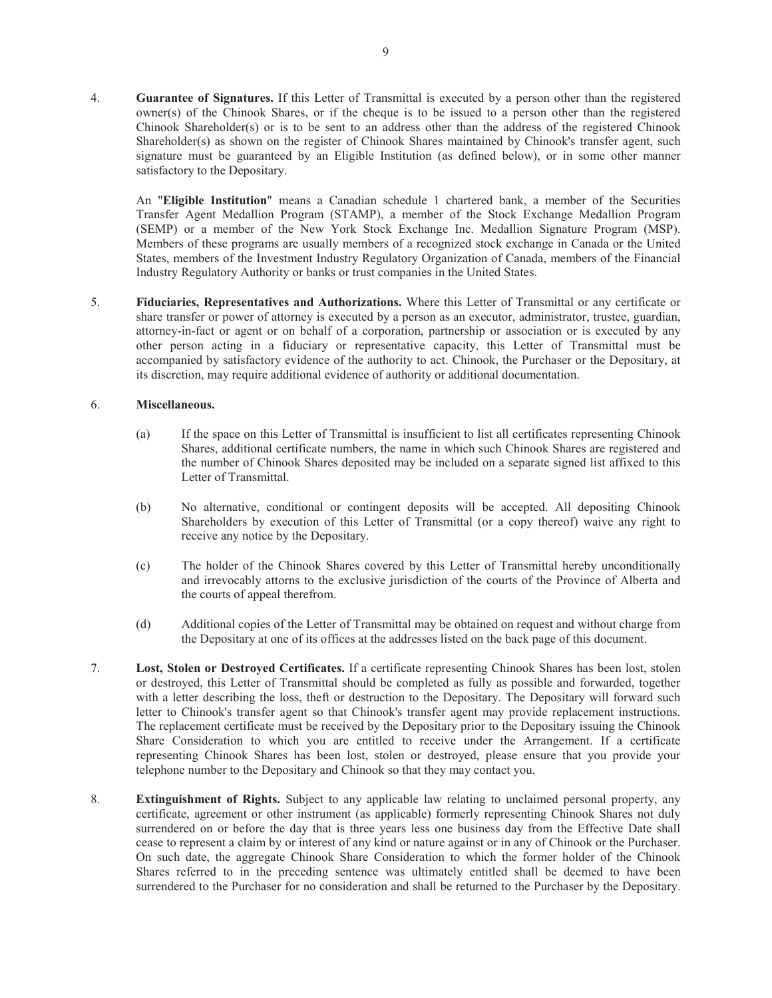4. **Guarantee of Signatures.** If this Letter of Transmittal is executed by a person other than the registered owner(s) of the Chinook Shares, or if the cheque is to be issued to a person other than the registered Chinook Shareholder(s) or is to be sent to an address other than the address of the registered Chinook Shareholder(s) as shown on the register of Chinook Shares maintained by Chinook's transfer agent, such signature must be guaranteed by an Eligible Institution (as defined below), or in some other manner satisfactory to the Depositary.

An "**Eligible Institution**" means a Canadian schedule 1 chartered bank, a member of the Securities Transfer Agent Medallion Program (STAMP), a member of the Stock Exchange Medallion Program (SEMP) or a member of the New York Stock Exchange Inc. Medallion Signature Program (MSP). Members of these programs are usually members of a recognized stock exchange in Canada or the United States, members of the Investment Industry Regulatory Organization of Canada, members of the Financial Industry Regulatory Authority or banks or trust companies in the United States.

5. **Fiduciaries, Representatives and Authorizations.** Where this Letter of Transmittal or any certificate or share transfer or power of attorney is executed by a person as an executor, administrator, trustee, guardian, attorney-in-fact or agent or on behalf of a corporation, partnership or association or is executed by any other person acting in a fiduciary or representative capacity, this Letter of Transmittal must be accompanied by satisfactory evidence of the authority to act. Chinook, the Purchaser or the Depositary, at its discretion, may require additional evidence of authority or additional documentation.

### 6. **Miscellaneous.**

- (a) If the space on this Letter of Transmittal is insufficient to list all certificates representing Chinook Shares, additional certificate numbers, the name in which such Chinook Shares are registered and the number of Chinook Shares deposited may be included on a separate signed list affixed to this Letter of Transmittal.
- (b) No alternative, conditional or contingent deposits will be accepted. All depositing Chinook Shareholders by execution of this Letter of Transmittal (or a copy thereof) waive any right to receive any notice by the Depositary.
- (c) The holder of the Chinook Shares covered by this Letter of Transmittal hereby unconditionally and irrevocably attorns to the exclusive jurisdiction of the courts of the Province of Alberta and the courts of appeal therefrom.
- (d) Additional copies of the Letter of Transmittal may be obtained on request and without charge from the Depositary at one of its offices at the addresses listed on the back page of this document.
- 7. **Lost, Stolen or Destroyed Certificates.** If a certificate representing Chinook Shares has been lost, stolen or destroyed, this Letter of Transmittal should be completed as fully as possible and forwarded, together with a letter describing the loss, theft or destruction to the Depositary. The Depositary will forward such letter to Chinook's transfer agent so that Chinook's transfer agent may provide replacement instructions. The replacement certificate must be received by the Depositary prior to the Depositary issuing the Chinook Share Consideration to which you are entitled to receive under the Arrangement. If a certificate representing Chinook Shares has been lost, stolen or destroyed, please ensure that you provide your telephone number to the Depositary and Chinook so that they may contact you.
- 8. **Extinguishment of Rights.** Subject to any applicable law relating to unclaimed personal property, any certificate, agreement or other instrument (as applicable) formerly representing Chinook Shares not duly surrendered on or before the day that is three years less one business day from the Effective Date shall cease to represent a claim by or interest of any kind or nature against or in any of Chinook or the Purchaser. On such date, the aggregate Chinook Share Consideration to which the former holder of the Chinook Shares referred to in the preceding sentence was ultimately entitled shall be deemed to have been surrendered to the Purchaser for no consideration and shall be returned to the Purchaser by the Depositary.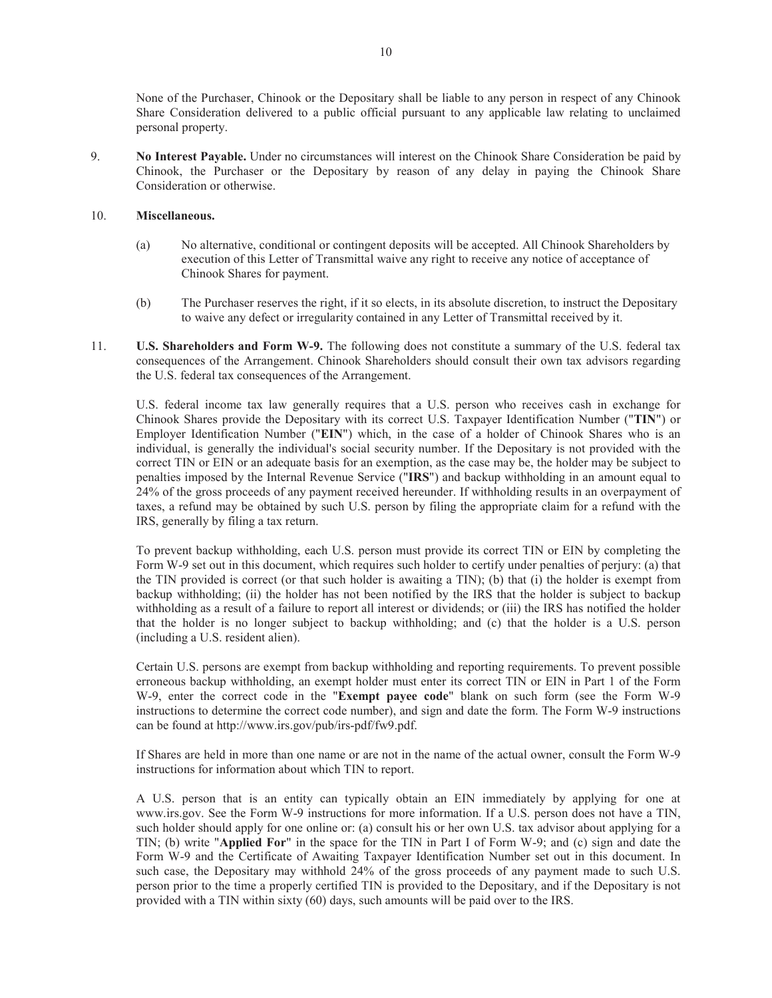None of the Purchaser, Chinook or the Depositary shall be liable to any person in respect of any Chinook Share Consideration delivered to a public official pursuant to any applicable law relating to unclaimed personal property.

9. **No Interest Payable.** Under no circumstances will interest on the Chinook Share Consideration be paid by Chinook, the Purchaser or the Depositary by reason of any delay in paying the Chinook Share Consideration or otherwise.

### 10. **Miscellaneous.**

- (a) No alternative, conditional or contingent deposits will be accepted. All Chinook Shareholders by execution of this Letter of Transmittal waive any right to receive any notice of acceptance of Chinook Shares for payment.
- (b) The Purchaser reserves the right, if it so elects, in its absolute discretion, to instruct the Depositary to waive any defect or irregularity contained in any Letter of Transmittal received by it.
- 11. **U.S. Shareholders and Form W-9.** The following does not constitute a summary of the U.S. federal tax consequences of the Arrangement. Chinook Shareholders should consult their own tax advisors regarding the U.S. federal tax consequences of the Arrangement.

U.S. federal income tax law generally requires that a U.S. person who receives cash in exchange for Chinook Shares provide the Depositary with its correct U.S. Taxpayer Identification Number ("**TIN**") or Employer Identification Number ("**EIN**") which, in the case of a holder of Chinook Shares who is an individual, is generally the individual's social security number. If the Depositary is not provided with the correct TIN or EIN or an adequate basis for an exemption, as the case may be, the holder may be subject to penalties imposed by the Internal Revenue Service ("**IRS**") and backup withholding in an amount equal to 24% of the gross proceeds of any payment received hereunder. If withholding results in an overpayment of taxes, a refund may be obtained by such U.S. person by filing the appropriate claim for a refund with the IRS, generally by filing a tax return.

To prevent backup withholding, each U.S. person must provide its correct TIN or EIN by completing the Form W-9 set out in this document, which requires such holder to certify under penalties of perjury: (a) that the TIN provided is correct (or that such holder is awaiting a TIN); (b) that (i) the holder is exempt from backup withholding; (ii) the holder has not been notified by the IRS that the holder is subject to backup withholding as a result of a failure to report all interest or dividends; or (iii) the IRS has notified the holder that the holder is no longer subject to backup withholding; and (c) that the holder is a U.S. person (including a U.S. resident alien).

Certain U.S. persons are exempt from backup withholding and reporting requirements. To prevent possible erroneous backup withholding, an exempt holder must enter its correct TIN or EIN in Part 1 of the Form W-9, enter the correct code in the "**Exempt payee code**" blank on such form (see the Form W-9 instructions to determine the correct code number), and sign and date the form. The Form W-9 instructions can be found at http://www.irs.gov/pub/irs-pdf/fw9.pdf.

If Shares are held in more than one name or are not in the name of the actual owner, consult the Form W-9 instructions for information about which TIN to report.

A U.S. person that is an entity can typically obtain an EIN immediately by applying for one at www.irs.gov. See the Form W-9 instructions for more information. If a U.S. person does not have a TIN, such holder should apply for one online or: (a) consult his or her own U.S. tax advisor about applying for a TIN; (b) write "**Applied For**" in the space for the TIN in Part I of Form W-9; and (c) sign and date the Form W-9 and the Certificate of Awaiting Taxpayer Identification Number set out in this document. In such case, the Depositary may withhold 24% of the gross proceeds of any payment made to such U.S. person prior to the time a properly certified TIN is provided to the Depositary, and if the Depositary is not provided with a TIN within sixty (60) days, such amounts will be paid over to the IRS.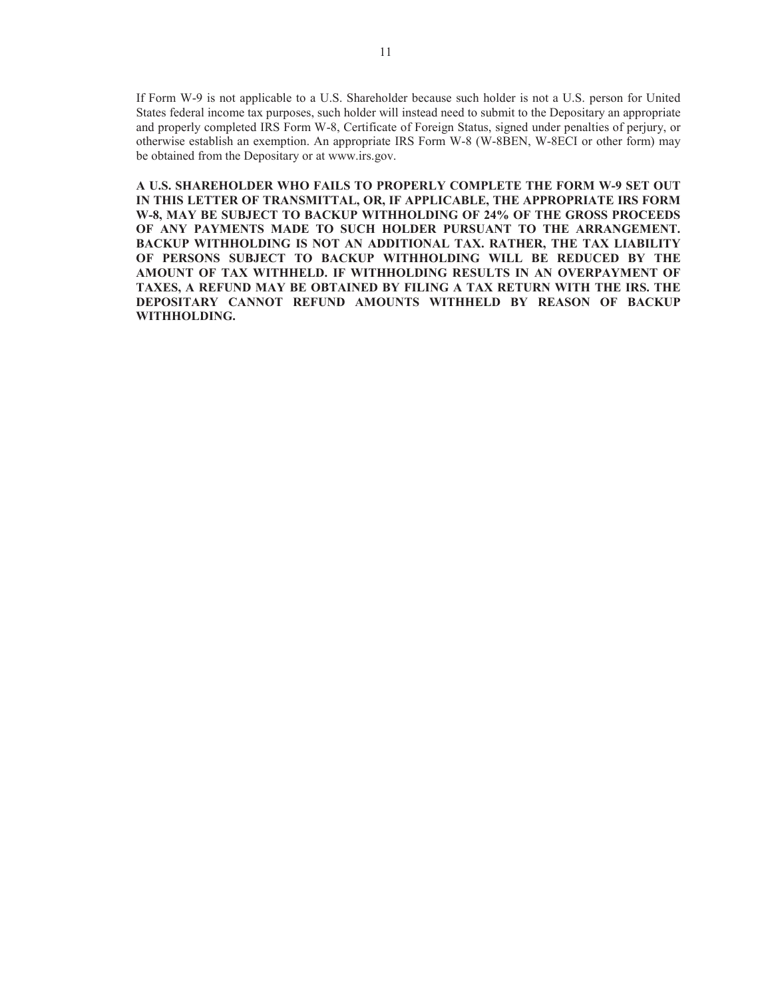If Form W-9 is not applicable to a U.S. Shareholder because such holder is not a U.S. person for United States federal income tax purposes, such holder will instead need to submit to the Depositary an appropriate and properly completed IRS Form W-8, Certificate of Foreign Status, signed under penalties of perjury, or otherwise establish an exemption. An appropriate IRS Form W-8 (W-8BEN, W-8ECI or other form) may be obtained from the Depositary or at www.irs.gov.

**A U.S. SHAREHOLDER WHO FAILS TO PROPERLY COMPLETE THE FORM W-9 SET OUT IN THIS LETTER OF TRANSMITTAL, OR, IF APPLICABLE, THE APPROPRIATE IRS FORM W-8, MAY BE SUBJECT TO BACKUP WITHHOLDING OF 24% OF THE GROSS PROCEEDS OF ANY PAYMENTS MADE TO SUCH HOLDER PURSUANT TO THE ARRANGEMENT. BACKUP WITHHOLDING IS NOT AN ADDITIONAL TAX. RATHER, THE TAX LIABILITY OF PERSONS SUBJECT TO BACKUP WITHHOLDING WILL BE REDUCED BY THE AMOUNT OF TAX WITHHELD. IF WITHHOLDING RESULTS IN AN OVERPAYMENT OF TAXES, A REFUND MAY BE OBTAINED BY FILING A TAX RETURN WITH THE IRS. THE DEPOSITARY CANNOT REFUND AMOUNTS WITHHELD BY REASON OF BACKUP WITHHOLDING.**